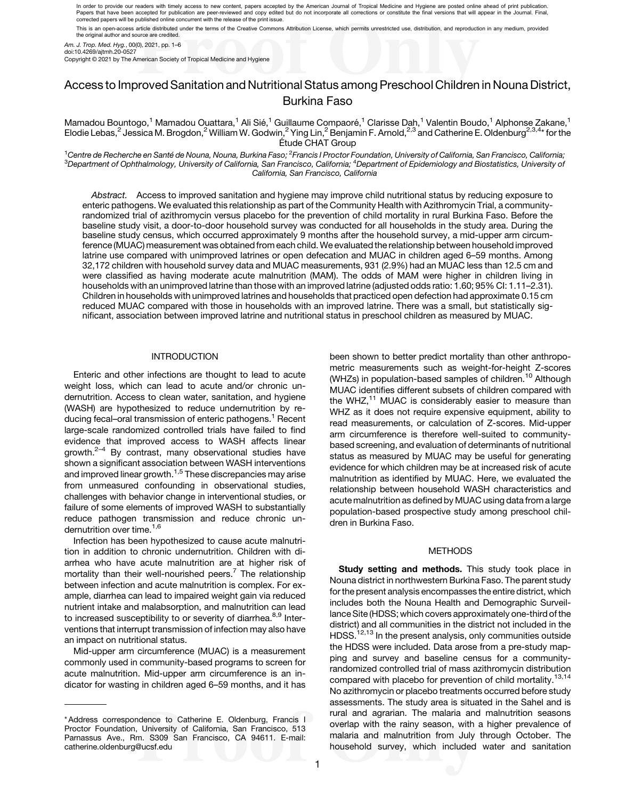In order to provide our readers with timely access to new content, papers accepted by the American Journal of Tropical Medicine and Hygiene are posted online ahead of print publication. Papers that have been accepted for publication are peer-reviewed and copy edited but do not incorporate all corrections or constitute the final versions that will appear in the Journal. Final,<br>corrected papers will be publ This is an open-access article distributed under the terms of the Creative Commons Attribution License, which permits unrestricted use, distribution, and reproduction in any medium, provided

the original author and source are credited.

Am. J. Trop. Med. Hyg., 00(0), 2021, pp. 1–6 doi:10.4269/ajtmh.20-0527

Copyright © 2021 by The American Society of Tropical Medicine and Hygiene

# Access to Improved Sanitation and Nutritional Status among Preschool Children in Nouna District, Burkina Faso

Mamadou Bountogo,<sup>1</sup> Mamadou Ouattara,<sup>1</sup> Ali Sié,<sup>1</sup> Guillaume Compaoré,<sup>1</sup> Clarisse Dah,<sup>1</sup> Valentin Boudo,<sup>1</sup> Alphonse Zakane,<sup>1</sup> Elodie Lebas, $^2$  Jessica M. Brogdon, $^2$  William W. Godwin, $^2$  Ying Lin, $^2$  Benjamin F. Arnold, $^{2,3}$  and Catherine E. Oldenburg $^{2,3,4\star}$  for the Etude CHAT Group ´

 $^1$ Centre de Recherche en Santé de Nouna, Nouna, Burkina Faso;  $^2$ <sup>1</sup>Centre de Recherche en Santé de Nouna, Nouna, Burkina Faso; <sup>2</sup>Francis I Proctor Foundation, University of California, San Francisco, California;<br><sup>3</sup>Department of Ophthalmology, University of California, San Francisco, California, San Francisco, California

Abstract. Access to improved sanitation and hygiene may improve child nutritional status by reducing exposure to enteric pathogens. We evaluated this relationship as part of the Community Health with Azithromycin Trial, a communityrandomized trial of azithromycin versus placebo for the prevention of child mortality in rural Burkina Faso. Before the baseline study visit, a door-to-door household survey was conducted for all households in the study area. During the baseline study census, which occurred approximately 9 months after the household survey, a mid-upper arm circumference (MUAC) measurement was obtained from each child. We evaluated the relationship between household improved latrine use compared with unimproved latrines or open defecation and MUAC in children aged 6–59 months. Among 32,172 children with household survey data and MUAC measurements, 931 (2.9%) had an MUAC less than 12.5 cm and were classified as having moderate acute malnutrition (MAM). The odds of MAM were higher in children living in households with an unimproved latrine than those with an improved latrine (adjusted odds ratio: 1.60; 95% CI: 1.11–2.31). Children in households with unimproved latrines and households that practiced open defection had approximate 0.15 cm reduced MUAC compared with those in households with an improved latrine. There was a small, but statistically significant, association between improved latrine and nutritional status in preschool children as measured by MUAC.

## INTRODUCTION

Enteric and other infections are thought to lead to acute weight loss, which can lead to acute and/or chronic undernutrition. Access to clean water, sanitation, and hygiene (WASH) are hypothesized to reduce undernutrition by re-ducing fecal–oral transmission of enteric pathogens.<sup>[1](#page-4-0)</sup> Recent large-scale randomized controlled trials have failed to find evidence that improved access to WASH affects linear  $arowth.<sup>2-4</sup>$  $arowth.<sup>2-4</sup>$  $arowth.<sup>2-4</sup>$  $arowth.<sup>2-4</sup>$  $arowth.<sup>2-4</sup>$  By contrast, many observational studies have shown a significant association between WASH interventions and improved linear growth. $1,5$  These discrepancies may arise from unmeasured confounding in observational studies, challenges with behavior change in interventional studies, or failure of some elements of improved WASH to substantially reduce pathogen transmission and reduce chronic un-dernutrition over time.<sup>[1](#page-4-0),[6](#page-4-0)</sup>

Infection has been hypothesized to cause acute malnutrition in addition to chronic undernutrition. Children with diarrhea who have acute malnutrition are at higher risk of mortality than their well-nourished peers.<sup>[7](#page-4-0)</sup> The relationship between infection and acute malnutrition is complex. For example, diarrhea can lead to impaired weight gain via reduced nutrient intake and malabsorption, and malnutrition can lead to increased susceptibility to or severity of diarrhea.<sup>[8,9](#page-4-0)</sup> Interventions that interrupt transmission of infection may also have an impact on nutritional status.

Mid-upper arm circumference (MUAC) is a measurement commonly used in community-based programs to screen for acute malnutrition. Mid-upper arm circumference is an indicator for wasting in children aged 6–59 months, and it has been shown to better predict mortality than other anthropometric measurements such as weight-for-height Z-scores (WHZs) in population-based samples of children.<sup>[10](#page-4-0)</sup> Although MUAC identifies different subsets of children compared with the WHZ, $<sup>11</sup>$  $<sup>11</sup>$  $<sup>11</sup>$  MUAC is considerably easier to measure than</sup> WHZ as it does not require expensive equipment, ability to read measurements, or calculation of Z-scores. Mid-upper arm circumference is therefore well-suited to communitybased screening, and evaluation of determinants of nutritional status as measured by MUAC may be useful for generating evidence for which children may be at increased risk of acute malnutrition as identified by MUAC. Here, we evaluated the relationship between household WASH characteristics and acute malnutrition as defined by MUAC using data from a large population-based prospective study among preschool children in Burkina Faso.

#### **METHODS**

Study setting and methods. This study took place in Nouna district in northwestern Burkina Faso. The parent study for the present analysis encompasses the entire district, which includes both the Nouna Health and Demographic Surveillance Site (HDSS; which covers approximately one-third of the district) and all communities in the district not included in the HDSS.<sup>[12,13](#page-4-0)</sup> In the present analysis, only communities outside the HDSS were included. Data arose from a pre-study mapping and survey and baseline census for a communityrandomized controlled trial of mass azithromycin distribution compared with placebo for prevention of child mortality.<sup>[13,14](#page-4-0)</sup> No azithromycin or placebo treatments occurred before study assessments. The study area is situated in the Sahel and is rural and agrarian. The malaria and malnutrition seasons overlap with the rainy season, with a higher prevalence of malaria and malnutrition from July through October. The household survey, which included water and sanitation

<sup>\*</sup> Address correspondence to Catherine E. Oldenburg, Francis I Proctor Foundation, University of California, San Francisco, 513 Parnassus Ave., Rm. S309 San Francisco, CA 94611. E-mail: [catherine.oldenburg@ucsf.edu](mailto:catherine.oldenburg@ucsf.edu)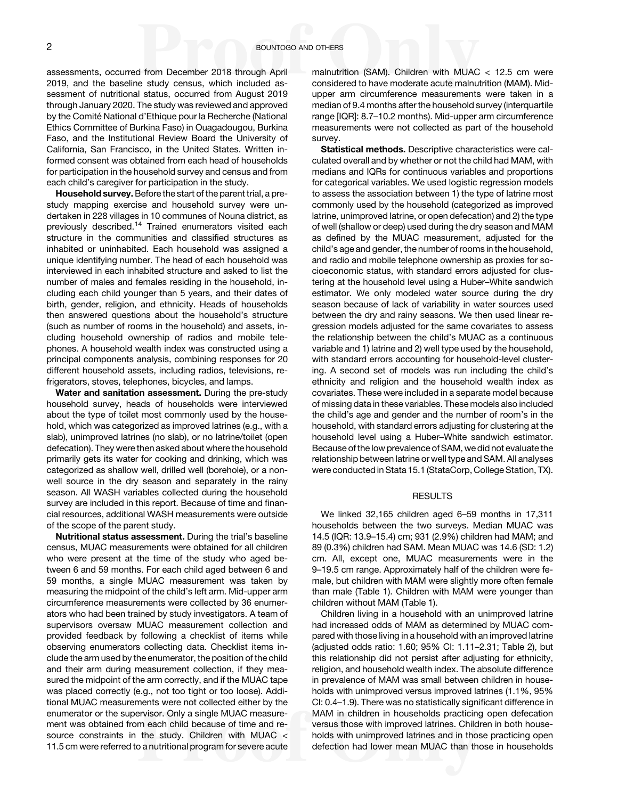assessments, occurred from December 2018 through April 2019, and the baseline study census, which included assessment of nutritional status, occurred from August 2019 through January 2020. The study was reviewed and approved by the Comité National d'Ethique pour la Recherche (National Ethics Committee of Burkina Faso) in Ouagadougou, Burkina Faso, and the Institutional Review Board the University of California, San Francisco, in the United States. Written informed consent was obtained from each head of households for participation in the household survey and census and from each child's caregiver for participation in the study.

Household survey. Before the start of the parent trial, a prestudy mapping exercise and household survey were undertaken in 228 villages in 10 communes of Nouna district, as previously described.<sup>[14](#page-4-0)</sup> Trained enumerators visited each structure in the communities and classified structures as inhabited or uninhabited. Each household was assigned a unique identifying number. The head of each household was interviewed in each inhabited structure and asked to list the number of males and females residing in the household, including each child younger than 5 years, and their dates of birth, gender, religion, and ethnicity. Heads of households then answered questions about the household's structure (such as number of rooms in the household) and assets, including household ownership of radios and mobile telephones. A household wealth index was constructed using a principal components analysis, combining responses for 20 different household assets, including radios, televisions, refrigerators, stoves, telephones, bicycles, and lamps.

Water and sanitation assessment. During the pre-study household survey, heads of households were interviewed about the type of toilet most commonly used by the household, which was categorized as improved latrines (e.g., with a slab), unimproved latrines (no slab), or no latrine/toilet (open defecation). They were then asked about where the household primarily gets its water for cooking and drinking, which was categorized as shallow well, drilled well (borehole), or a nonwell source in the dry season and separately in the rainy season. All WASH variables collected during the household survey are included in this report. Because of time and financial resources, additional WASH measurements were outside of the scope of the parent study.

Nutritional status assessment. During the trial's baseline census, MUAC measurements were obtained for all children who were present at the time of the study who aged between 6 and 59 months. For each child aged between 6 and 59 months, a single MUAC measurement was taken by measuring the midpoint of the child's left arm. Mid-upper arm circumference measurements were collected by 36 enumerators who had been trained by study investigators. A team of supervisors oversaw MUAC measurement collection and provided feedback by following a checklist of items while observing enumerators collecting data. Checklist items include the arm used by the enumerator, the position of the child and their arm during measurement collection, if they measured the midpoint of the arm correctly, and if the MUAC tape was placed correctly (e.g., not too tight or too loose). Additional MUAC measurements were not collected either by the enumerator or the supervisor. Only a single MUAC measurement was obtained from each child because of time and resource constraints in the study. Children with MUAC < 11.5 cm were referred to a nutritional program for severe acute

malnutrition (SAM). Children with MUAC < 12.5 cm were considered to have moderate acute malnutrition (MAM). Midupper arm circumference measurements were taken in a median of 9.4 months after the household survey (interquartile range [IQR]: 8.7–10.2 months). Mid-upper arm circumference measurements were not collected as part of the household survey.

Statistical methods. Descriptive characteristics were calculated overall and by whether or not the child had MAM, with medians and IQRs for continuous variables and proportions for categorical variables. We used logistic regression models to assess the association between 1) the type of latrine most commonly used by the household (categorized as improved latrine, unimproved latrine, or open defecation) and 2) the type of well (shallow or deep) used during the dry season and MAM as defined by the MUAC measurement, adjusted for the child's age and gender, the number of rooms in the household, and radio and mobile telephone ownership as proxies for socioeconomic status, with standard errors adjusted for clustering at the household level using a Huber–White sandwich estimator. We only modeled water source during the dry season because of lack of variability in water sources used between the dry and rainy seasons. We then used linear regression models adjusted for the same covariates to assess the relationship between the child's MUAC as a continuous variable and 1) latrine and 2) well type used by the household, with standard errors accounting for household-level clustering. A second set of models was run including the child's ethnicity and religion and the household wealth index as covariates. These were included in a separate model because of missing data in these variables. These models also included the child's age and gender and the number of room's in the household, with standard errors adjusting for clustering at the household level using a Huber–White sandwich estimator. Because of the low prevalence of SAM, we did not evaluate the relationship between latrine or well type and SAM. All analyses were conducted in Stata 15.1 (StataCorp, College Station, TX).

## RESULTS

We linked 32,165 children aged 6–59 months in 17,311 households between the two surveys. Median MUAC was 14.5 (IQR: 13.9–15.4) cm; 931 (2.9%) children had MAM; and 89 (0.3%) children had SAM. Mean MUAC was 14.6 (SD: 1.2) cm. All, except one, MUAC measurements were in the 9–19.5 cm range. Approximately half of the children were female, but children with MAM were slightly more often female than male [\(Table 1](#page-2-0)). Children with MAM were younger than children without MAM [\(Table 1](#page-2-0)).

Children living in a household with an unimproved latrine had increased odds of MAM as determined by MUAC compared with those living in a household with an improved latrine (adjusted odds ratio: 1.60; 95% CI: 1.11–2.31; [Table 2\)](#page-2-0), but this relationship did not persist after adjusting for ethnicity, religion, and household wealth index. The absolute difference in prevalence of MAM was small between children in households with unimproved versus improved latrines (1.1%, 95% CI: 0.4–1.9). There was no statistically significant difference in MAM in children in households practicing open defecation versus those with improved latrines. Children in both households with unimproved latrines and in those practicing open defection had lower mean MUAC than those in households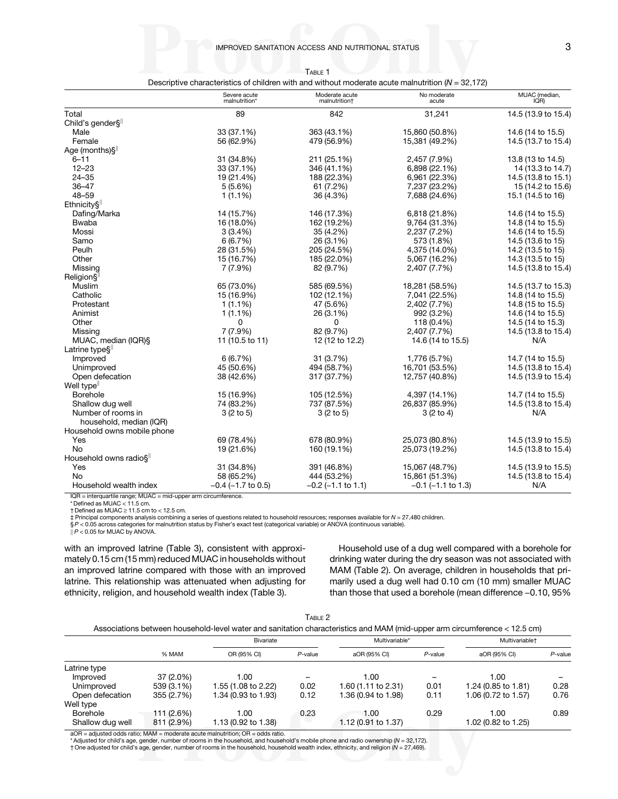<span id="page-2-0"></span>

|                                     | Severe acute<br>malnutrition* | Moderate acute<br>malnutrition <sup>+</sup> | No moderate<br>acute    | MUAC (median,<br>IQR) |
|-------------------------------------|-------------------------------|---------------------------------------------|-------------------------|-----------------------|
| Total                               | 89                            | 842                                         | 31,241                  | 14.5 (13.9 to 15.4)   |
| Child's gender§ <sup>  </sup>       |                               |                                             |                         |                       |
| Male                                | 33 (37.1%)                    | 363 (43.1%)                                 | 15,860 (50.8%)          | 14.6 (14 to 15.5)     |
| Female                              | 56 (62.9%)                    | 479 (56.9%)                                 | 15,381 (49.2%)          | 14.5 (13.7 to 15.4)   |
| Age (months)§ <sup>  </sup>         |                               |                                             |                         |                       |
| $6 - 11$                            | 31 (34.8%)                    | 211 (25.1%)                                 | 2,457 (7.9%)            | 13.8 (13 to 14.5)     |
| $12 - 23$                           | 33 (37.1%)                    | 346 (41.1%)                                 | 6,898 (22.1%)           | 14 (13.3 to 14.7)     |
| $24 - 35$                           | 19 (21.4%)                    | 188 (22.3%)                                 | 6,961 (22.3%)           | 14.5 (13.8 to 15.1)   |
| $36 - 47$                           | 5(5.6%)                       | 61 (7.2%)                                   | 7,237 (23.2%)           | 15 (14.2 to 15.6)     |
| $48 - 59$                           | $1(1.1\%)$                    | 36 (4.3%)                                   | 7,688 (24.6%)           | 15.1 (14.5 to 16)     |
| Ethnicity§ <sup>  </sup>            |                               |                                             |                         |                       |
| Dafing/Marka                        | 14 (15.7%)                    | 146 (17.3%)                                 | 6,818 (21.8%)           | 14.6 (14 to 15.5)     |
| <b>Bwaba</b>                        | 16 (18.0%)                    | 162 (19.2%)                                 | 9,764 (31.3%)           | 14.8 (14 to 15.5)     |
| Mossi                               | 3(3.4%)                       | 35 (4.2%)                                   | 2,237 (7.2%)            | 14.6 (14 to 15.5)     |
| Samo                                | 6(6.7%)                       | 26 (3.1%)                                   | 573 (1.8%)              | 14.5 (13.6 to 15)     |
| Peulh                               | 28 (31.5%)                    | 205 (24.5%)                                 | 4,375 (14.0%)           | 14.2 (13.5 to 15)     |
| Other                               | 15 (16.7%)                    | 185 (22.0%)                                 | 5,067 (16.2%)           | 14.3 (13.5 to 15)     |
| Missing                             | 7 (7.9%)                      | 82 (9.7%)                                   | 2,407 (7.7%)            | 14.5 (13.8 to 15.4)   |
| Religion§ <sup>  </sup>             |                               |                                             |                         |                       |
| Muslim                              | 65 (73.0%)                    | 585 (69.5%)                                 | 18,281 (58.5%)          | 14.5 (13.7 to 15.3)   |
| Catholic                            | 15 (16.9%)                    | 102 (12.1%)                                 | 7,041 (22.5%)           | 14.8 (14 to 15.5)     |
| Protestant                          | $1(1.1\%)$                    | 47 (5.6%)                                   | 2,402 (7.7%)            | 14.8 (15 to 15.5)     |
| Animist                             | 1(1.1%)                       | 26 (3.1%)                                   | 992 (3.2%)              | 14.6 (14 to 15.5)     |
| Other                               | U                             | 0                                           | 118 (0.4%)              | 14.5 (14 to 15.3)     |
| Missing                             | 7 (7.9%)                      | 82 (9.7%)                                   | 2,407 (7.7%)            | 14.5 (13.8 to 15.4)   |
| MUAC, median (IQR)§                 | 11 (10.5 to 11)               | 12 (12 to 12.2)                             | 14.6 (14 to 15.5)       | N/A                   |
| Latrine type§ <sup>∥</sup>          |                               |                                             |                         |                       |
| Improved                            | 6(6.7%)                       | 31 (3.7%)                                   | 1,776 (5.7%)            | 14.7 (14 to 15.5)     |
| Unimproved                          | 45 (50.6%)                    | 494 (58.7%)                                 | 16,701 (53.5%)          | 14.5 (13.8 to 15.4)   |
| Open defecation                     | 38 (42.6%)                    | 317 (37.7%)                                 | 12,757 (40.8%)          | 14.5 (13.9 to 15.4)   |
| Well type <sup>ll</sup>             |                               |                                             |                         |                       |
| <b>Borehole</b>                     | 15 (16.9%)                    | 105 (12.5%)                                 | 4,397 (14.1%)           | 14.7 (14 to 15.5)     |
| Shallow dug well                    | 74 (83.2%)                    | 737 (87.5%)                                 | 26,837 (85.9%)          | 14.5 (13.8 to 15.4)   |
| Number of rooms in                  | 3(2 to 5)                     | 3(2 to 5)                                   | 3(2 to 4)               | N/A                   |
| household, median (IQR)             |                               |                                             |                         |                       |
| Household owns mobile phone         |                               |                                             |                         |                       |
| Yes                                 | 69 (78.4%)                    | 678 (80.9%)                                 | 25,073 (80.8%)          | 14.5 (13.9 to 15.5)   |
| <b>No</b>                           | 19 (21.6%)                    | 160 (19.1%)                                 | 25,073 (19.2%)          | 14.5 (13.8 to 15.4)   |
| Household owns radio§ <sup>  </sup> |                               |                                             |                         |                       |
| Yes                                 | 31 (34.8%)                    | 391 (46.8%)                                 | 15,067 (48.7%)          | 14.5 (13.9 to 15.5)   |
| No                                  | 58 (65.2%)                    | 444 (53.2%)                                 | 15,861 (51.3%)          | 14.5 (13.8 to 15.4)   |
| Household wealth index              | $-0.4$ ( $-1.7$ to 0.5)       | $-0.2$ ( $-1.1$ to 1.1)                     | $-0.1$ ( $-1.1$ to 1.3) | N/A                   |

TABLE 1

Descriptive characteristics of children with and without moderate acute malnutrition  $(N = 32,172)$ 

IQR = interquartile range; MUAC = mid-upper arm circumference. \* Defined as MUAC < 11.5 cm.

 $\dagger$  Defined as MUAC  $\geq 11.5$  cm to < 12.5 cm.

‡ Principal components analysis combining a series of questions related to household resources; responses available for N = 27,480 children.

§ P < 0.05 across categories for malnutrition status by Fisher's exact test (categorical variable) or ANOVA (continuous variable).<br>|| P < 0.05 for MUAC by ANOVA.

with an improved latrine [\(Table 3](#page-3-0)), consistent with approximately 0.15 cm (15 mm) reduced MUAC in households without an improved latrine compared with those with an improved latrine. This relationship was attenuated when adjusting for ethnicity, religion, and household wealth index [\(Table 3](#page-3-0)).

Household use of a dug well compared with a borehole for drinking water during the dry season was not associated with MAM (Table 2). On average, children in households that primarily used a dug well had 0.10 cm (10 mm) smaller MUAC drinking water during the dry season was not associated with<br>MAM (Table 2). On average, children in households that pri-<br>marily used a dug well had 0.10 cm (10 mm) smaller MUAC<br>than those that used a borehole (mean differ

| TABLE 2 |
|---------|
|         |

|                                     | % MAM                    | Bivariate                   |            | Multivariable*              |            | Multivariable <sup>+</sup>  |            |
|-------------------------------------|--------------------------|-----------------------------|------------|-----------------------------|------------|-----------------------------|------------|
|                                     |                          | OR (95% CI)                 | $P$ -value | aOR (95% CI)                | $P$ -value | aOR (95% CI)                | $P$ -value |
| Latrine type                        |                          |                             |            |                             |            |                             |            |
| Improved                            | $37(2.0\%)$              | 1.00                        |            | 1.00                        | -          | 1.00                        |            |
| Unimproved                          | 539 (3.1%)               | 1.55 (1.08 to 2.22)         | 0.02       | 1.60 (1.11 to 2.31)         | 0.01       | 1.24 (0.85 to 1.81)         | 0.28       |
| Open defecation                     | 355 (2.7%)               | 1.34 (0.93 to 1.93)         | 0.12       | 1.36 (0.94 to 1.98)         | 0.11       | 1.06 (0.72 to 1.57)         | 0.76       |
| Well type                           |                          |                             |            |                             |            |                             |            |
| <b>Borehole</b><br>Shallow dug well | 111 (2.6%)<br>811 (2.9%) | 1.00<br>1.13 (0.92 to 1.38) | 0.23       | 1.00<br>1.12 (0.91 to 1.37) | 0.29       | 1.00<br>1.02 (0.82 to 1.25) | 0.89       |

aOR = adjusted odds ratio; MAM = moderate acute malnutrition; OR = odds ratio.

\* Adjusted for child's age, gender, number of rooms in the household, and household's mobile phone and radio ownership (N = 32,172).

† One adjusted for child's age, gender, number of rooms in the household, household wealth index, ethnicity, and religion (N = 27,469).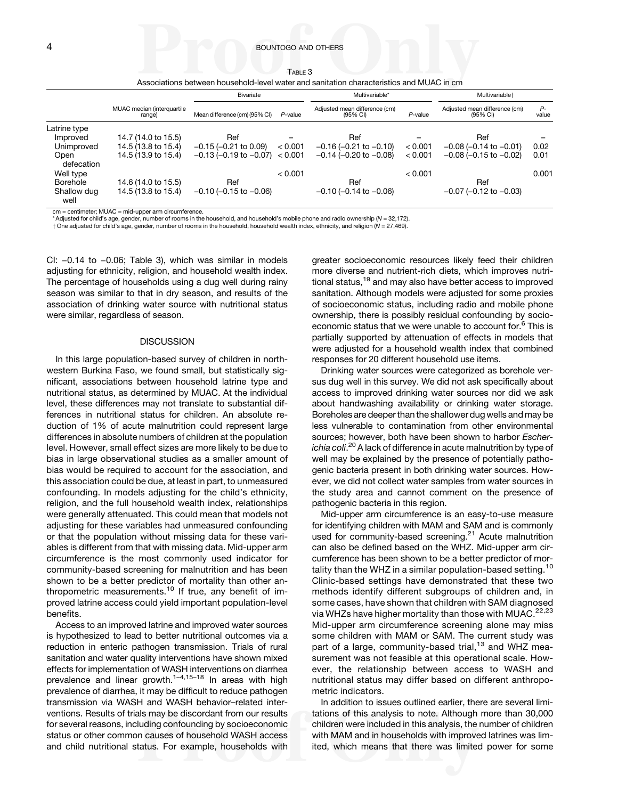### <span id="page-3-0"></span>4 BOUNTOGO AND OTHERS

| Таві є З |                                                                                          |  |
|----------|------------------------------------------------------------------------------------------|--|
|          | Associations between household-level water and sanitation characteristics and MUAC in cm |  |

|                     |                                      | Bivariate                      |            | Multivariable*                            |            | Multivariable <sup>+</sup>                          |               |
|---------------------|--------------------------------------|--------------------------------|------------|-------------------------------------------|------------|-----------------------------------------------------|---------------|
|                     | MUAC median (interquartile<br>range) | Mean difference (cm) (95% CI)  | $P$ -value | Adjusted mean difference (cm)<br>(95% CI) | $P$ -value | Adjusted mean difference (cm)<br>$(95% \text{ Cl})$ | $P-$<br>value |
| Latrine type        |                                      |                                |            |                                           |            |                                                     |               |
| Improved            | 14.7 (14.0 to 15.5)                  | Ref                            |            | Ref                                       |            | Ref                                                 |               |
| Unimproved          | 14.5 (13.8 to 15.4)                  | $-0.15$ ( $-0.21$ to 0.09)     | < 0.001    | $-0.16$ ( $-0.21$ to $-0.10$ )            | < 0.001    | $-0.08$ ( $-0.14$ to $-0.01$ )                      | 0.02          |
| Open<br>defecation  | 14.5 (13.9 to 15.4)                  | $-0.13$ ( $-0.19$ to $-0.07$ ) | < 0.001    | $-0.14$ ( $-0.20$ to $-0.08$ )            | < 0.001    | $-0.08$ ( $-0.15$ to $-0.02$ )                      | 0.01          |
| Well type           |                                      |                                | < 0.001    |                                           | < 0.001    |                                                     | 0.001         |
| <b>Borehole</b>     | 14.6 (14.0 to 15.5)                  | Ref                            |            | Ref                                       |            | Ref                                                 |               |
| Shallow dug<br>well | 14.5 (13.8 to 15.4)                  | $-0.10$ ( $-0.15$ to $-0.06$ ) |            | $-0.10$ ( $-0.14$ to $-0.06$ )            |            | $-0.07$ ( $-0.12$ to $-0.03$ )                      |               |

cm = centimeter; MUAC = mid-upper arm circumference.

Adjusted for child's age, gender, number of rooms in the household, and household's mobile phone and radio ownership (N = 32,172).

† One adjusted for child's age, gender, number of rooms in the household, household wealth index, ethnicity, and religion (N = 27,469).

CI: <sup>−</sup>0.14 to <sup>−</sup>0.06; Table 3), which was similar in models adjusting for ethnicity, religion, and household wealth index. The percentage of households using a dug well during rainy season was similar to that in dry season, and results of the association of drinking water source with nutritional status were similar, regardless of season.

#### **DISCUSSION**

In this large population-based survey of children in northwestern Burkina Faso, we found small, but statistically significant, associations between household latrine type and nutritional status, as determined by MUAC. At the individual level, these differences may not translate to substantial differences in nutritional status for children. An absolute reduction of 1% of acute malnutrition could represent large differences in absolute numbers of children at the population level. However, small effect sizes are more likely to be due to bias in large observational studies as a smaller amount of bias would be required to account for the association, and this association could be due, at least in part, to unmeasured confounding. In models adjusting for the child's ethnicity, religion, and the full household wealth index, relationships were generally attenuated. This could mean that models not adjusting for these variables had unmeasured confounding or that the population without missing data for these variables is different from that with missing data. Mid-upper arm circumference is the most commonly used indicator for community-based screening for malnutrition and has been shown to be a better predictor of mortality than other an-thropometric measurements.<sup>[10](#page-4-0)</sup> If true, any benefit of improved latrine access could yield important population-level benefits.

Access to an improved latrine and improved water sources is hypothesized to lead to better nutritional outcomes via a reduction in enteric pathogen transmission. Trials of rural sanitation and water quality interventions have shown mixed effects for implementation of WASH interventions on diarrhea prevalence and linear growth.<sup>[1](#page-4-0)-[4](#page-4-0),[15](#page-4-0)-[18](#page-5-0)</sup> In areas with high prevalence of diarrhea, it may be difficult to reduce pathogen transmission via WASH and WASH behavior–related interventions. Results of trials may be discordant from our results for several reasons, including confounding by socioeconomic status or other common causes of household WASH access and child nutritional status. For example, households with greater socioeconomic resources likely feed their children more diverse and nutrient-rich diets, which improves nutri-tional status,<sup>[19](#page-5-0)</sup> and may also have better access to improved sanitation. Although models were adjusted for some proxies of socioeconomic status, including radio and mobile phone ownership, there is possibly residual confounding by socio-economic status that we were unable to account for.<sup>[6](#page-4-0)</sup> This is partially supported by attenuation of effects in models that were adjusted for a household wealth index that combined responses for 20 different household use items.

Drinking water sources were categorized as borehole versus dug well in this survey. We did not ask specifically about access to improved drinking water sources nor did we ask about handwashing availability or drinking water storage. Boreholes are deeper than the shallower dug wells and may be less vulnerable to contamination from other environmental sources; however, both have been shown to harbor Escher-*ichia coli.<sup>[20](#page-5-0)</sup> A lack of difference in acute malnutrition by type of* well may be explained by the presence of potentially pathogenic bacteria present in both drinking water sources. However, we did not collect water samples from water sources in the study area and cannot comment on the presence of pathogenic bacteria in this region.

Mid-upper arm circumference is an easy-to-use measure for identifying children with MAM and SAM and is commonly used for community-based screening.<sup>[21](#page-5-0)</sup> Acute malnutrition can also be defined based on the WHZ. Mid-upper arm circumference has been shown to be a better predictor of mor-tality than the WHZ in a similar population-based setting.<sup>[10](#page-4-0)</sup> Clinic-based settings have demonstrated that these two methods identify different subgroups of children and, in some cases, have shown that children with SAM diagnosed via WHZs have higher mortality than those with MUAC.<sup>[22,23](#page-5-0)</sup> Mid-upper arm circumference screening alone may miss some children with MAM or SAM. The current study was part of a large, community-based trial, $13$  and WHZ measurement was not feasible at this operational scale. However, the relationship between access to WASH and nutritional status may differ based on different anthropometric indicators.

In addition to issues outlined earlier, there are several limitations of this analysis to note. Although more than 30,000 children were included in this analysis, the number of children with MAM and in households with improved latrines was limited, which means that there was limited power for some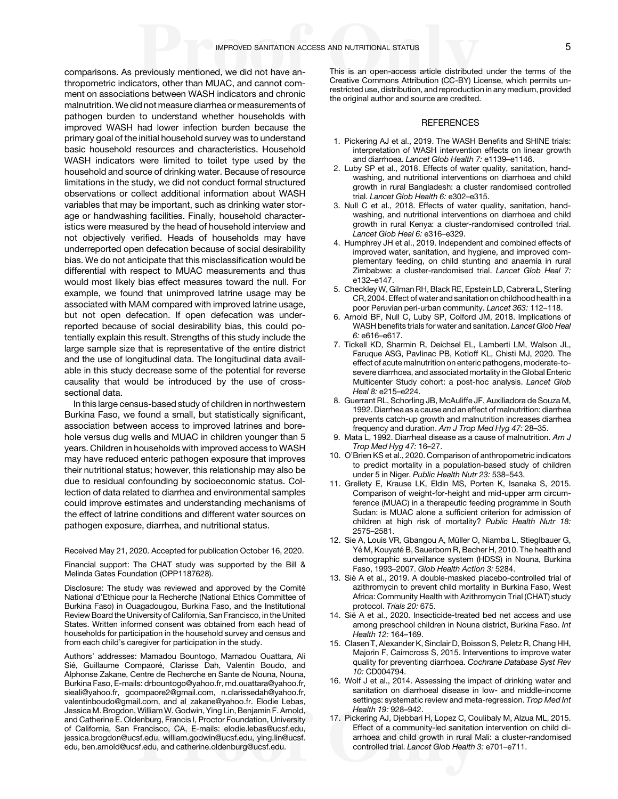<span id="page-4-0"></span>comparisons. As previously mentioned, we did not have anthropometric indicators, other than MUAC, and cannot comment on associations between WASH indicators and chronic malnutrition. We did not measure diarrhea or measurements of pathogen burden to understand whether households with improved WASH had lower infection burden because the primary goal of the initial household survey was to understand basic household resources and characteristics. Household WASH indicators were limited to toilet type used by the household and source of drinking water. Because of resource limitations in the study, we did not conduct formal structured observations or collect additional information about WASH variables that may be important, such as drinking water storage or handwashing facilities. Finally, household characteristics were measured by the head of household interview and not objectively verified. Heads of households may have underreported open defecation because of social desirability bias. We do not anticipate that this misclassification would be differential with respect to MUAC measurements and thus would most likely bias effect measures toward the null. For example, we found that unimproved latrine usage may be associated with MAM compared with improved latrine usage, but not open defecation. If open defecation was underreported because of social desirability bias, this could potentially explain this result. Strengths of this study include the large sample size that is representative of the entire district and the use of longitudinal data. The longitudinal data available in this study decrease some of the potential for reverse causality that would be introduced by the use of crosssectional data.

In this large census-based study of children in northwestern Burkina Faso, we found a small, but statistically significant, association between access to improved latrines and borehole versus dug wells and MUAC in children younger than 5 years. Children in households with improved access to WASH may have reduced enteric pathogen exposure that improves their nutritional status; however, this relationship may also be due to residual confounding by socioeconomic status. Collection of data related to diarrhea and environmental samples could improve estimates and understanding mechanisms of the effect of latrine conditions and different water sources on pathogen exposure, diarrhea, and nutritional status.

Received May 21, 2020. Accepted for publication October 16, 2020.

Financial support: The CHAT study was supported by the Bill & Melinda Gates Foundation (OPP1187628).

Disclosure: The study was reviewed and approved by the Comité National d'Ethique pour la Recherche (National Ethics Committee of Burkina Faso) in Ouagadougou, Burkina Faso, and the Institutional Review Board the University of California, San Francisco, in the United States. Written informed consent was obtained from each head of households for participation in the household survey and census and from each child's caregiver for participation in the study.

Authors' addresses: Mamadou Bountogo, Mamadou Ouattara, Ali Sié, Guillaume Compaoré, Clarisse Dah, Valentin Boudo, and Alphonse Zakane, Centre de Recherche en Sante de Nouna, Nouna, Burkina Faso, E-mails: [drbountogo@yahoo.fr](mailto:drbountogo@yahoo.fr), [md.ouattara@yahoo.fr,](mailto:md.ouattara@yahoo.fr) [sieali@yahoo.fr](mailto:sieali@yahoo.fr), [gcompaore2@gmail.com,](mailto:gcompaore2@gmail.com) [n.clarissedah@yahoo.fr,](mailto:n.clarissedah@yahoo.fr) [valentinboudo@gmail.com,](mailto:valentinboudo@gmail.com) and [al\\_zakane@yahoo.fr.](mailto:al_zakane@yahoo.fr) Elodie Lebas, Jessica M. Brogdon, William W. Godwin, Ying Lin, Benjamin F. Arnold, and Catherine E. Oldenburg, Francis I, Proctor Foundation, University of California, San Francisco, CA, E-mails: [elodie.lebas@ucsf.edu,](mailto:elodie.lebas@ucsf.edu) [jessica.brogdon@ucsf.edu](mailto:jessica.brogdon@ucsf.edu), [william.godwin@ucsf.edu,](mailto:william.godwin@ucsf.edu) [ying.lin@ucsf.](mailto:ying.lin@ucsf.edu) [edu](mailto:ying.lin@ucsf.edu), [ben.arnold@ucsf.edu](mailto:ben.arnold@ucsf.edu), and [catherine.oldenburg@ucsf.edu](mailto:catherine.oldenburg@ucsf.edu).

This is an open-access article distributed under the terms of the [Creative Commons Attribution \(CC-BY\) License](https://creativecommons.org/licenses/by/4.0/), which permits unrestricted use, distribution, and reproduction in any medium, provided the original author and source are credited.

# **REFERENCES**

- 1. Pickering AJ et al., 2019. The WASH Benefits and SHINE trials: interpretation of WASH intervention effects on linear growth and diarrhoea. Lancet Glob Health 7: e1139–e1146.
- 2. Luby SP et al., 2018. Effects of water quality, sanitation, handwashing, and nutritional interventions on diarrhoea and child growth in rural Bangladesh: a cluster randomised controlled trial. Lancet Glob Health 6: e302–e315.
- 3. Null C et al., 2018. Effects of water quality, sanitation, handwashing, and nutritional interventions on diarrhoea and child growth in rural Kenya: a cluster-randomised controlled trial. Lancet Glob Heal 6: e316–e329.
- 4. Humphrey JH et al., 2019. Independent and combined effects of improved water, sanitation, and hygiene, and improved complementary feeding, on child stunting and anaemia in rural Zimbabwe: a cluster-randomised trial. Lancet Glob Heal 7: e132–e147.
- 5. Checkley W, Gilman RH, Black RE, Epstein LD, Cabrera L, Sterling CR, 2004. Effect of water and sanitation on childhood health in a poor Peruvian peri-urban community. Lancet 363: 112–118.
- 6. Arnold BF, Null C, Luby SP, Colford JM, 2018. Implications of WASH benefits trials for water and sanitation. Lancet Glob Heal 6: e616–e617.
- 7. Tickell KD, Sharmin R, Deichsel EL, Lamberti LM, Walson JL, Faruque ASG, Pavlinac PB, Kotloff KL, Chisti MJ, 2020. The effect of acute malnutrition on enteric pathogens, moderate-tosevere diarrhoea, and associated mortality in the Global Enteric Multicenter Study cohort: a post-hoc analysis. Lancet Glob Heal 8: e215–e224.
- 8. Guerrant RL, Schorling JB, McAuliffe JF, Auxiliadora de Souza M, 1992. Diarrhea as a cause and an effect of malnutrition: diarrhea prevents catch-up growth and malnutrition increases diarrhea frequency and duration. Am J Trop Med Hyg 47: 28–35.
- 9. Mata L, 1992. Diarrheal disease as a cause of malnutrition. Am J Trop Med Hyg 47: 16–27.
- 10. O'Brien KS et al., 2020. Comparison of anthropometric indicators to predict mortality in a population-based study of children under 5 in Niger. Public Health Nutr 23: 538–543.
- 11. Grellety E, Krause LK, Eldin MS, Porten K, Isanaka S, 2015. Comparison of weight-for-height and mid-upper arm circumference (MUAC) in a therapeutic feeding programme in South Sudan: is MUAC alone a sufficient criterion for admission of children at high risk of mortality? Public Health Nutr 18: 2575–2581.
- 12. Sie A, Louis VR, Gbangou A, Müller O, Niamba L, Stieglbauer G, Yé M, Kouyaté B, Sauerborn R, Becher H, 2010. The health and demographic surveillance system (HDSS) in Nouna, Burkina Faso, 1993–2007. Glob Health Action 3: 5284.
- 13. Sié A et al., 2019. A double-masked placebo-controlled trial of azithromycin to prevent child mortality in Burkina Faso, West Africa: Community Health with Azithromycin Trial (CHAT) study protocol. Trials 20: 675.
- 14. Sié A et al., 2020. Insecticide-treated bed net access and use among preschool children in Nouna district, Burkina Faso. Int Health 12: 164–169.
- 15. Clasen T, Alexander K, Sinclair D, Boisson S, Peletz R, Chang HH, Majorin F, Cairncross S, 2015. Interventions to improve water quality for preventing diarrhoea. Cochrane Database Syst Rev 10: CD004794.
- 16. Wolf J et al., 2014. Assessing the impact of drinking water and sanitation on diarrhoeal disease in low- and middle-income settings: systematic review and meta-regression. Trop Med Int Health 19: 928–942.
- 17. Pickering AJ, Djebbari H, Lopez C, Coulibaly M, Alzua ML, 2015. Effect of a community-led sanitation intervention on child diarrhoea and child growth in rural Mali: a cluster-randomised controlled trial. Lancet Glob Health 3: e701–e711.